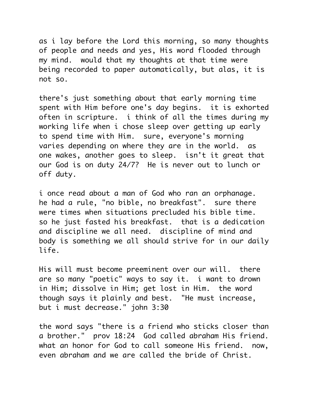as i lay before the Lord this morning, so many thoughts of people and needs and yes, His word flooded through my mind. would that my thoughts at that time were being recorded to paper automatically, but alas, it is not so.

there's just something about that early morning time spent with Him before one's day begins. it is exhorted often in scripture. i think of all the times during my working life when i chose sleep over getting up early to spend time with Him. sure, everyone's morning varies depending on where they are in the world. as one wakes, another goes to sleep. isn't it great that our God is on duty 24/7? He is never out to lunch or off duty.

i once read about a man of God who ran an orphanage. he had a rule, "no bible, no breakfast". sure there were times when situations precluded his bible time. so he just fasted his breakfast. that is a dedication and discipline we all need. discipline of mind and body is something we all should strive for in our daily life.

His will must become preeminent over our will. there are so many "poetic" ways to say it. i want to drown in Him; dissolve in Him; get lost in Him. the word though says it plainly and best. "He must increase, but i must decrease." john 3:30

the word says "there is a friend who sticks closer than a brother." prov 18:24 God called abraham His friend. what an honor for God to call someone His friend. now, even abraham and we are called the bride of Christ.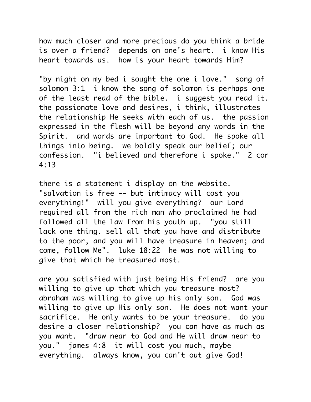how much closer and more precious do you think a bride is over a friend? depends on one's heart. i know His heart towards us. how is your heart towards Him?

"by night on my bed i sought the one i love." song of solomon 3:1 i know the song of solomon is perhaps one of the least read of the bible. i suggest you read it. the passionate love and desires, i think, illustrates the relationship He seeks with each of us. the passion expressed in the flesh will be beyond any words in the Spirit. and words are important to God. He spoke all things into being. we boldly speak our belief; our confession. "i believed and therefore i spoke." 2 cor 4:13

there is a statement i display on the website. "salvation is free -- but intimacy will cost you everything!" will you give everything? our Lord required all from the rich man who proclaimed he had followed all the law from his youth up. "you still lack one thing. sell all that you have and distribute to the poor, and you will have treasure in heaven; and come, follow Me". luke 18:22 he was not willing to give that which he treasured most.

are you satisfied with just being His friend? are you willing to give up that which you treasure most? abraham was willing to give up his only son. God was willing to give up His only son. He does not want your sacrifice. He only wants to be your treasure. do you desire a closer relationship? you can have as much as you want. "draw near to God and He will draw near to you." james 4:8 it will cost you much, maybe everything. always know, you can't out give God!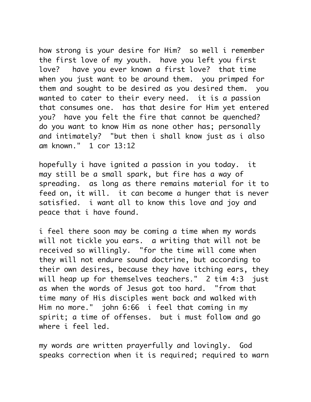how strong is your desire for Him? so well i remember the first love of my youth. have you left you first love? have you ever known a first love? that time when you just want to be around them. you primped for them and sought to be desired as you desired them. you wanted to cater to their every need. it is a passion that consumes one. has that desire for Him yet entered you? have you felt the fire that cannot be quenched? do you want to know Him as none other has; personally and intimately? "but then i shall know just as i also am known." 1 cor 13:12

hopefully i have ignited a passion in you today. it may still be a small spark, but fire has a way of spreading. as long as there remains material for it to feed on, it will. it can become a hunger that is never satisfied. i want all to know this love and joy and peace that i have found.

i feel there soon may be coming a time when my words will not tickle you ears. a writing that will not be received so willingly. "for the time will come when they will not endure sound doctrine, but according to their own desires, because they have itching ears, they will heap up for themselves teachers." 2 tim 4:3 just as when the words of Jesus got too hard. "from that time many of His disciples went back and walked with Him no more." john 6:66 i feel that coming in my spirit; a time of offenses. but i must follow and go where i feel led.

my words are written prayerfully and lovingly. God speaks correction when it is required; required to warn